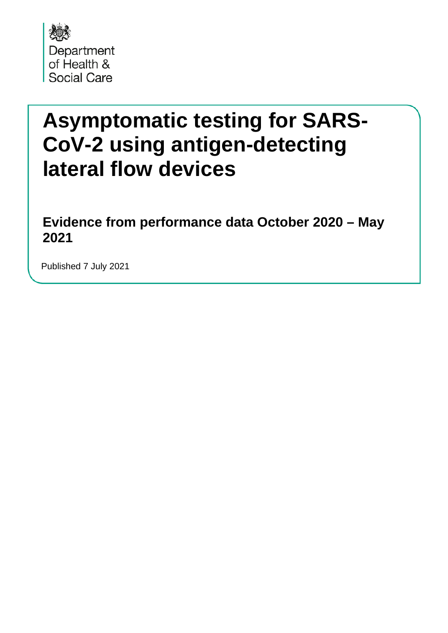

# **Asymptomatic testing for SARS-CoV-2 using antigen-detecting lateral flow devices**

**Evidence from performance data October 2020 – May 2021** 

Published 7 July 2021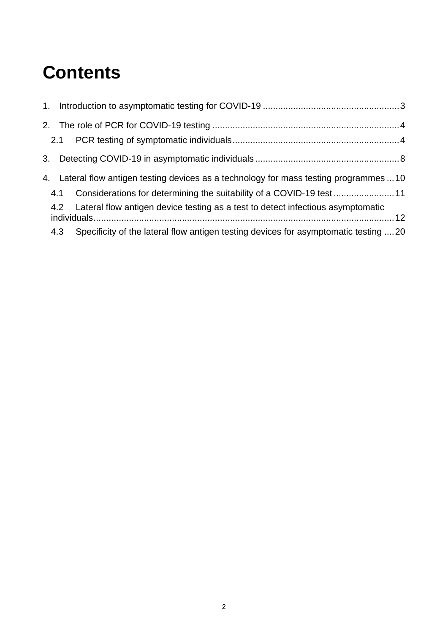## **Contents**

|     | 4. Lateral flow antigen testing devices as a technology for mass testing programmes  10 |  |
|-----|-----------------------------------------------------------------------------------------|--|
|     | 4.1 Considerations for determining the suitability of a COVID-19 test                   |  |
|     | 4.2 Lateral flow antigen device testing as a test to detect infectious asymptomatic     |  |
| 4.3 | Specificity of the lateral flow antigen testing devices for asymptomatic testing 20     |  |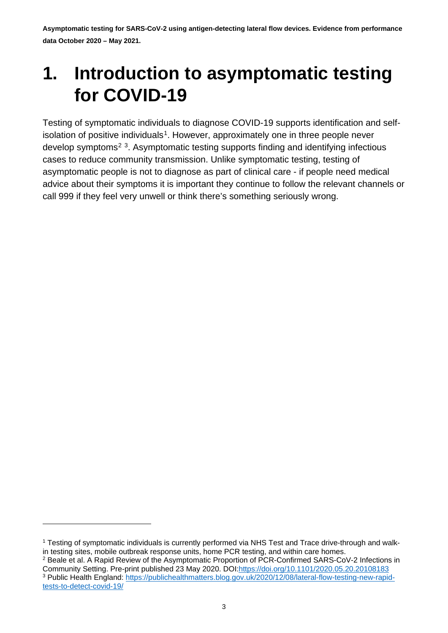## <span id="page-2-0"></span>**1. Introduction to asymptomatic testing for COVID-19**

Testing of symptomatic individuals to diagnose COVID-19 supports identification and self-isolation of positive individuals<sup>[1](#page-2-1)</sup>. However, approximately one in three people never develop symptoms<sup>[2](#page-2-2) 3</sup>. Asymptomatic testing supports finding and identifying infectious cases to reduce community transmission. Unlike symptomatic testing, testing of asymptomatic people is not to diagnose as part of clinical care - if people need medical advice about their symptoms it is important they continue to follow the relevant channels or call 999 if they feel very unwell or think there's something seriously wrong.

<span id="page-2-1"></span><sup>&</sup>lt;sup>1</sup> Testing of symptomatic individuals is currently performed via NHS Test and Trace drive-through and walkin testing sites, mobile outbreak response units, home PCR testing, and within care homes.

<span id="page-2-3"></span><span id="page-2-2"></span><sup>2</sup> Beale et al. A Rapid Review of the Asymptomatic Proportion of PCR-Confirmed SARS-CoV-2 Infections in Community Setting. Pre-print published 23 May 2020. DOI[:https://doi.org/10.1101/2020.05.20.20108183](https://doi.org/10.1101/2020.05.20.20108183) <sup>3</sup> Public Health England: [https://publichealthmatters.blog.gov.uk/2020/12/08/lateral-flow-testing-new-rapid](https://publichealthmatters.blog.gov.uk/2020/12/08/lateral-flow-testing-new-rapid-tests-to-detect-covid-19/)[tests-to-detect-covid-19/](https://publichealthmatters.blog.gov.uk/2020/12/08/lateral-flow-testing-new-rapid-tests-to-detect-covid-19/)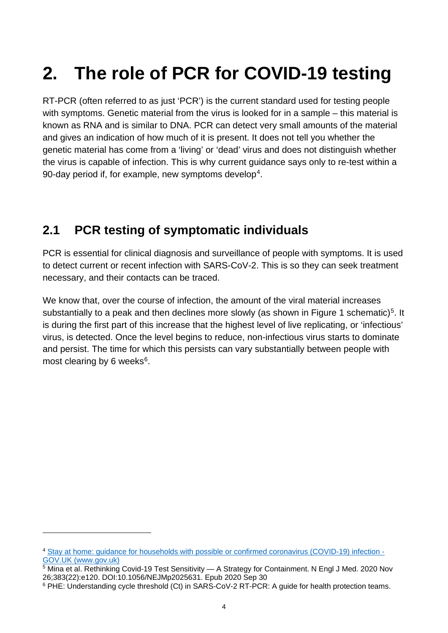# <span id="page-3-0"></span>**2. The role of PCR for COVID-19 testing**

RT-PCR (often referred to as just 'PCR') is the current standard used for testing people with symptoms. Genetic material from the virus is looked for in a sample – this material is known as RNA and is similar to DNA. PCR can detect very small amounts of the material and gives an indication of how much of it is present. It does not tell you whether the genetic material has come from a 'living' or 'dead' virus and does not distinguish whether the virus is capable of infection. This is why current guidance says only to re-test within a 90-day period if, for example, new symptoms develop<sup>4</sup>.

## <span id="page-3-1"></span>**2.1 PCR testing of symptomatic individuals**

PCR is essential for clinical diagnosis and surveillance of people with symptoms. It is used to detect current or recent infection with SARS-CoV-2. This is so they can seek treatment necessary, and their contacts can be traced.

We know that, over the course of infection, the amount of the viral material increases substantially to a peak and then declines more slowly (as shown in Figure 1 schematic)<sup>5</sup>. It is during the first part of this increase that the highest level of live replicating, or 'infectious' virus, is detected. Once the level begins to reduce, non-infectious virus starts to dominate and persist. The time for which this persists can vary substantially between people with most clearing by [6](#page-3-4) weeks $6$ .

<span id="page-3-2"></span><sup>4</sup> [Stay at home: guidance for households with possible or confirmed coronavirus \(COVID-19\) infection -](https://www.gov.uk/government/publications/covid-19-stay-at-home-guidance/stay-at-home-guidance-for-households-with-possible-coronavirus-covid-19-infection) [GOV.UK \(www.gov.uk\)](https://www.gov.uk/government/publications/covid-19-stay-at-home-guidance/stay-at-home-guidance-for-households-with-possible-coronavirus-covid-19-infection)

<span id="page-3-3"></span> $5$  Mina et al. Rethinking Covid-19 Test Sensitivity — A Strategy for Containment. N Engl J Med. 2020 Nov 26;383(22):e120. DOI:10.1056/NEJMp2025631. Epub 2020 Sep 30

<span id="page-3-4"></span><sup>6</sup> PHE: Understanding cycle threshold (Ct) in SARS-CoV-2 RT-PCR: A guide for health protection teams.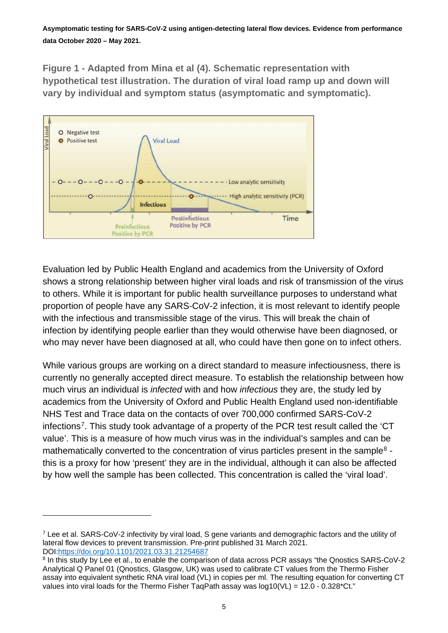**Figure 1 - Adapted from Mina et al (4). Schematic representation with hypothetical test illustration. The duration of viral load ramp up and down will vary by individual and symptom status (asymptomatic and symptomatic).**



Evaluation led by Public Health England and academics from the University of Oxford shows a strong relationship between higher viral loads and risk of transmission of the virus to others. While it is important for public health surveillance purposes to understand what proportion of people have any SARS-CoV-2 infection, it is most relevant to identify people with the infectious and transmissible stage of the virus. This will break the chain of infection by identifying people earlier than they would otherwise have been diagnosed, or who may never have been diagnosed at all, who could have then gone on to infect others.

While various groups are working on a direct standard to measure infectiousness, there is currently no generally accepted direct measure. To establish the relationship between how much virus an individual is *infected* with and how *infectious* they are, the study led by academics from the University of Oxford and Public Health England used non-identifiable NHS Test and Trace data on the contacts of over 700,000 confirmed SARS-CoV-2 infections<sup>[7](#page-4-0)</sup>. This study took advantage of a property of the PCR test result called the 'CT value'. This is a measure of how much virus was in the individual's samples and can be mathematically converted to the concentration of virus particles present in the sample<sup>[8](#page-4-1)</sup> this is a proxy for how 'present' they are in the individual, although it can also be affected by how well the sample has been collected. This concentration is called the 'viral load'.

<span id="page-4-0"></span><sup>7</sup> Lee et al. SARS-CoV-2 infectivity by viral load, S gene variants and demographic factors and the utility of lateral flow devices to prevent transmission. Pre-print published 31 March 2021. DOI[:https://doi.org/10.1101/2021.03.31.21254687](https://doi.org/10.1101/2021.03.31.21254687)

<span id="page-4-1"></span><sup>&</sup>lt;sup>8</sup> In this study by Lee et al., to enable the comparison of data across PCR assays "the Qnostics SARS-CoV-2 Analytical Q Panel 01 (Qnostics, Glasgow, UK) was used to calibrate CT values from the Thermo Fisher assay into equivalent synthetic RNA viral load (VL) in copies per ml. The resulting equation for converting CT values into viral loads for the Thermo Fisher TaqPath assay was  $log10(VL) = 12.0 - 0.328(Ct)$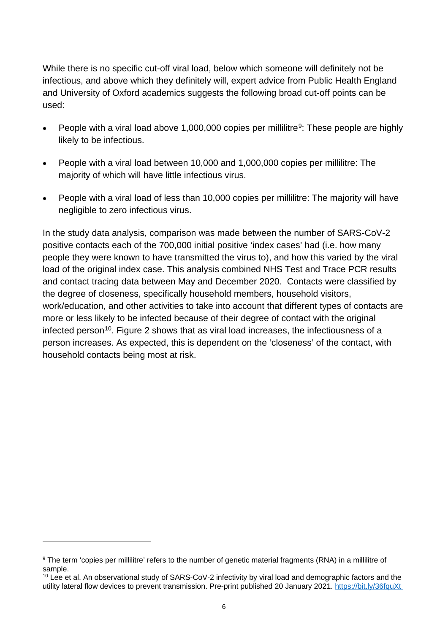While there is no specific cut-off viral load, below which someone will definitely not be infectious, and above which they definitely will, expert advice from Public Health England and University of Oxford academics suggests the following broad cut-off points can be used:

- People with a viral load above 1,000,000 copies per millilitre<sup>[9](#page-5-0)</sup>: These people are highly likely to be infectious.
- People with a viral load between 10,000 and 1,000,000 copies per millilitre: The majority of which will have little infectious virus.
- People with a viral load of less than 10,000 copies per millilitre: The majority will have negligible to zero infectious virus.

In the study data analysis, comparison was made between the number of SARS-CoV-2 positive contacts each of the 700,000 initial positive 'index cases' had (i.e. how many people they were known to have transmitted the virus to), and how this varied by the viral load of the original index case. This analysis combined NHS Test and Trace PCR results and contact tracing data between May and December 2020. Contacts were classified by the degree of closeness, specifically household members, household visitors, work/education, and other activities to take into account that different types of contacts are more or less likely to be infected because of their degree of contact with the original infected person<sup>[10](#page-5-1)</sup>. Figure 2 shows that as viral load increases, the infectiousness of a person increases. As expected, this is dependent on the 'closeness' of the contact, with household contacts being most at risk.

<span id="page-5-0"></span><sup>9</sup> The term 'copies per millilitre' refers to the number of genetic material fragments (RNA) in a millilitre of sample.

<span id="page-5-1"></span><sup>&</sup>lt;sup>10</sup> Lee et al. An observational study of SARS-CoV-2 infectivity by viral load and demographic factors and the utility lateral flow devices to prevent transmission. Pre-print published 20 January 2021.<https://bit.ly/36fquXt>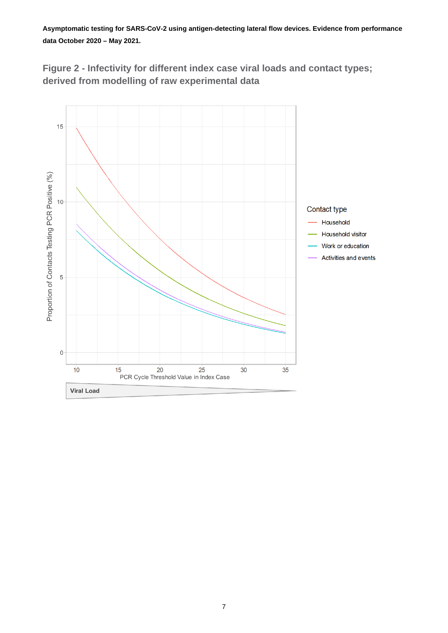

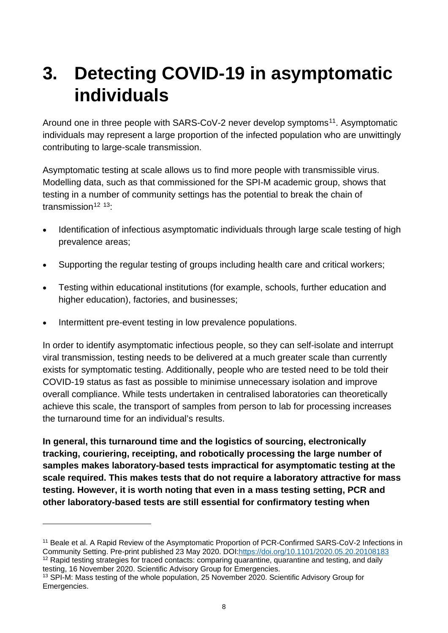## <span id="page-7-0"></span>**3. Detecting COVID-19 in asymptomatic individuals**

Around one in three people with SARS-CoV-2 never develop symptoms<sup>[11](#page-7-1)</sup>. Asymptomatic individuals may represent a large proportion of the infected population who are unwittingly contributing to large-scale transmission.

Asymptomatic testing at scale allows us to find more people with transmissible virus. Modelling data, such as that commissioned for the SPI-M academic group, shows that testing in a number of community settings has the potential to break the chain of transmission $12$   $13$ :

- Identification of infectious asymptomatic individuals through large scale testing of high prevalence areas;
- Supporting the regular testing of groups including health care and critical workers;
- Testing within educational institutions (for example, schools, further education and higher education), factories, and businesses;
- Intermittent pre-event testing in low prevalence populations.

In order to identify asymptomatic infectious people, so they can self-isolate and interrupt viral transmission, testing needs to be delivered at a much greater scale than currently exists for symptomatic testing. Additionally, people who are tested need to be told their COVID-19 status as fast as possible to minimise unnecessary isolation and improve overall compliance. While tests undertaken in centralised laboratories can theoretically achieve this scale, the transport of samples from person to lab for processing increases the turnaround time for an individual's results.

**In general, this turnaround time and the logistics of sourcing, electronically tracking, couriering, receipting, and robotically processing the large number of samples makes laboratory-based tests impractical for asymptomatic testing at the scale required. This makes tests that do not require a laboratory attractive for mass testing. However, it is worth noting that even in a mass testing setting, PCR and other laboratory-based tests are still essential for confirmatory testing when** 

<span id="page-7-1"></span><sup>&</sup>lt;sup>11</sup> Beale et al. A Rapid Review of the Asymptomatic Proportion of PCR-Confirmed SARS-CoV-2 Infections in Community Setting. Pre-print published 23 May 2020. DOI[:https://doi.org/10.1101/2020.05.20.20108183](https://doi.org/10.1101/2020.05.20.20108183)

<span id="page-7-2"></span><sup>&</sup>lt;sup>12</sup> Rapid testing strategies for traced contacts: comparing quarantine, quarantine and testing, and daily testing, 16 November 2020. Scientific Advisory Group for Emergencies.

<span id="page-7-3"></span><sup>&</sup>lt;sup>13</sup> SPI-M: Mass testing of the whole population, 25 November 2020. Scientific Advisory Group for Emergencies.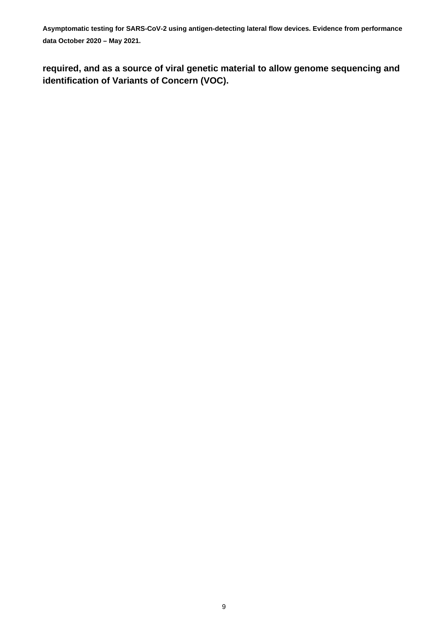**required, and as a source of viral genetic material to allow genome sequencing and identification of Variants of Concern (VOC).**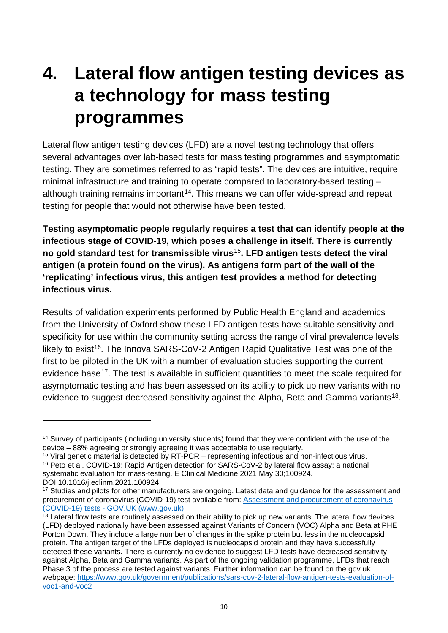## <span id="page-9-0"></span>**4. Lateral flow antigen testing devices as a technology for mass testing programmes**

Lateral flow antigen testing devices (LFD) are a novel testing technology that offers several advantages over lab-based tests for mass testing programmes and asymptomatic testing. They are sometimes referred to as "rapid tests". The devices are intuitive, require minimal infrastructure and training to operate compared to laboratory-based testing – although training remains important<sup>[14](#page-9-1)</sup>. This means we can offer wide-spread and repeat testing for people that would not otherwise have been tested.

**Testing asymptomatic people regularly requires a test that can identify people at the infectious stage of COVID-19, which poses a challenge in itself. There is currently no gold standard test for transmissible virus**[15](#page-9-2)**. LFD antigen tests detect the viral antigen (a protein found on the virus). As antigens form part of the wall of the 'replicating' infectious virus, this antigen test provides a method for detecting infectious virus.**

Results of validation experiments performed by Public Health England and academics from the University of Oxford show these LFD antigen tests have suitable sensitivity and specificity for use within the community setting across the range of viral prevalence levels likely to exist<sup>[16](#page-9-3)</sup>. The Innova SARS-CoV-2 Antigen Rapid Qualitative Test was one of the first to be piloted in the UK with a number of evaluation studies supporting the current evidence base<sup>[17](#page-9-4)</sup>. The test is available in sufficient quantities to meet the scale required for asymptomatic testing and has been assessed on its ability to pick up new variants with no evidence to suggest decreased sensitivity against the Alpha, Beta and Gamma variants<sup>18</sup>.

<span id="page-9-1"></span><sup>14</sup> Survey of participants (including university students) found that they were confident with the use of the device – 88% agreeing or strongly agreeing it was acceptable to use regularly.

<span id="page-9-3"></span><span id="page-9-2"></span><sup>&</sup>lt;sup>15</sup> Viral genetic material is detected by RT-PCR – representing infectious and non-infectious virus. <sup>16</sup> Peto et al. COVID-19: Rapid Antigen detection for SARS-CoV-2 by lateral flow assay: a national systematic evaluation for mass-testing. E Clinical Medicine 2021 May 30;100924. DOI:10.1016/j.eclinm.2021.100924

<span id="page-9-4"></span><sup>&</sup>lt;sup>17</sup> Studies and pilots for other manufacturers are ongoing. Latest data and quidance for the assessment and procurement of coronavirus (COVID-19) test available from: [Assessment and procurement of coronavirus](https://www.gov.uk/government/publications/assessment-and-procurement-of-coronavirus-covid-19-tests)  (COVID-19) tests - [GOV.UK \(www.gov.uk\)](https://www.gov.uk/government/publications/assessment-and-procurement-of-coronavirus-covid-19-tests)

<span id="page-9-5"></span> $18$  Lateral flow tests are routinely assessed on their ability to pick up new variants. The lateral flow devices (LFD) deployed nationally have been assessed against Variants of Concern (VOC) Alpha and Beta at PHE Porton Down. They include a large number of changes in the spike protein but less in the nucleocapsid protein. The antigen target of the LFDs deployed is nucleocapsid protein and they have successfully detected these variants. There is currently no evidence to suggest LFD tests have decreased sensitivity against Alpha, Beta and Gamma variants. As part of the ongoing validation programme, LFDs that reach Phase 3 of the process are tested against variants. Further information can be found on the gov.uk webpage: [https://www.gov.uk/government/publications/sars-cov-2-lateral-flow-antigen-tests-evaluation-of](https://www.gov.uk/government/publications/sars-cov-2-lateral-flow-antigen-tests-evaluation-of-voc1-and-voc2)[voc1-and-voc2](https://www.gov.uk/government/publications/sars-cov-2-lateral-flow-antigen-tests-evaluation-of-voc1-and-voc2)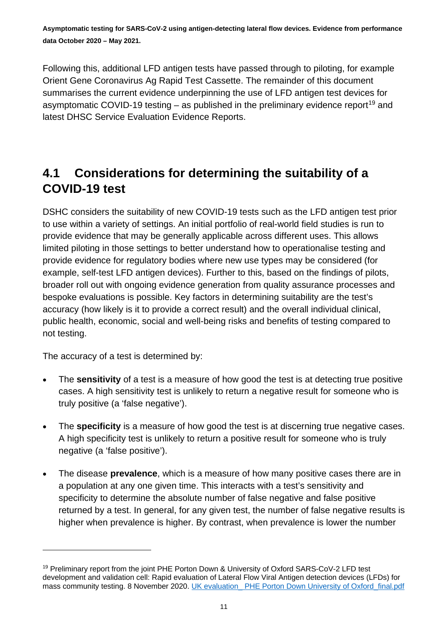Following this, additional LFD antigen tests have passed through to piloting, for example Orient Gene Coronavirus Ag Rapid Test Cassette. The remainder of this document summarises the current evidence underpinning the use of LFD antigen test devices for asymptomatic COVID-[19](#page-10-1) testing  $-$  as published in the preliminary evidence report<sup>19</sup> and latest DHSC Service Evaluation Evidence Reports.

#### <span id="page-10-0"></span>**4.1 Considerations for determining the suitability of a COVID-19 test**

DSHC considers the suitability of new COVID-19 tests such as the LFD antigen test prior to use within a variety of settings. An initial portfolio of real-world field studies is run to provide evidence that may be generally applicable across different uses. This allows limited piloting in those settings to better understand how to operationalise testing and provide evidence for regulatory bodies where new use types may be considered (for example, self-test LFD antigen devices). Further to this, based on the findings of pilots, broader roll out with ongoing evidence generation from quality assurance processes and bespoke evaluations is possible. Key factors in determining suitability are the test's accuracy (how likely is it to provide a correct result) and the overall individual clinical, public health, economic, social and well-being risks and benefits of testing compared to not testing.

The accuracy of a test is determined by:

- The **sensitivity** of a test is a measure of how good the test is at detecting true positive cases. A high sensitivity test is unlikely to return a negative result for someone who is truly positive (a 'false negative').
- The **specificity** is a measure of how good the test is at discerning true negative cases. A high specificity test is unlikely to return a positive result for someone who is truly negative (a 'false positive').
- The disease **prevalence**, which is a measure of how many positive cases there are in a population at any one given time. This interacts with a test's sensitivity and specificity to determine the absolute number of false negative and false positive returned by a test. In general, for any given test, the number of false negative results is higher when prevalence is higher. By contrast, when prevalence is lower the number

<span id="page-10-1"></span><sup>&</sup>lt;sup>19</sup> Preliminary report from the joint PHE Porton Down & University of Oxford SARS-CoV-2 LFD test development and validation cell: Rapid evaluation of Lateral Flow Viral Antigen detection devices (LFDs) for mass community testing. 8 November 2020. UK evaluation\_PHE Porton Down University of Oxford\_final.pdf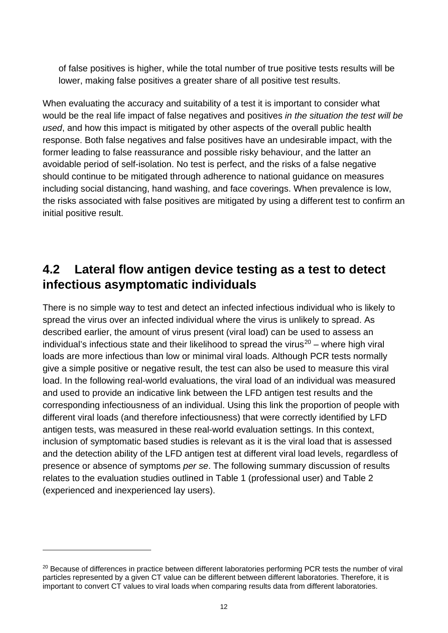of false positives is higher, while the total number of true positive tests results will be lower, making false positives a greater share of all positive test results.

When evaluating the accuracy and suitability of a test it is important to consider what would be the real life impact of false negatives and positives *in the situation the test will be used*, and how this impact is mitigated by other aspects of the overall public health response. Both false negatives and false positives have an undesirable impact, with the former leading to false reassurance and possible risky behaviour, and the latter an avoidable period of self-isolation. No test is perfect, and the risks of a false negative should continue to be mitigated through adherence to national guidance on measures including social distancing, hand washing, and face coverings. When prevalence is low, the risks associated with false positives are mitigated by using a different test to confirm an initial positive result.

#### <span id="page-11-0"></span>**4.2 Lateral flow antigen device testing as a test to detect infectious asymptomatic individuals**

There is no simple way to test and detect an infected infectious individual who is likely to spread the virus over an infected individual where the virus is unlikely to spread. As described earlier, the amount of virus present (viral load) can be used to assess an individual's infectious state and their likelihood to spread the virus<sup>[20](#page-11-1)</sup> – where high viral loads are more infectious than low or minimal viral loads. Although PCR tests normally give a simple positive or negative result, the test can also be used to measure this viral load. In the following real-world evaluations, the viral load of an individual was measured and used to provide an indicative link between the LFD antigen test results and the corresponding infectiousness of an individual. Using this link the proportion of people with different viral loads (and therefore infectiousness) that were correctly identified by LFD antigen tests, was measured in these real-world evaluation settings. In this context, inclusion of symptomatic based studies is relevant as it is the viral load that is assessed and the detection ability of the LFD antigen test at different viral load levels, regardless of presence or absence of symptoms *per se*. The following summary discussion of results relates to the evaluation studies outlined in Table 1 (professional user) and Table 2 (experienced and inexperienced lay users).

<span id="page-11-1"></span><sup>&</sup>lt;sup>20</sup> Because of differences in practice between different laboratories performing PCR tests the number of viral particles represented by a given CT value can be different between different laboratories. Therefore, it is important to convert CT values to viral loads when comparing results data from different laboratories.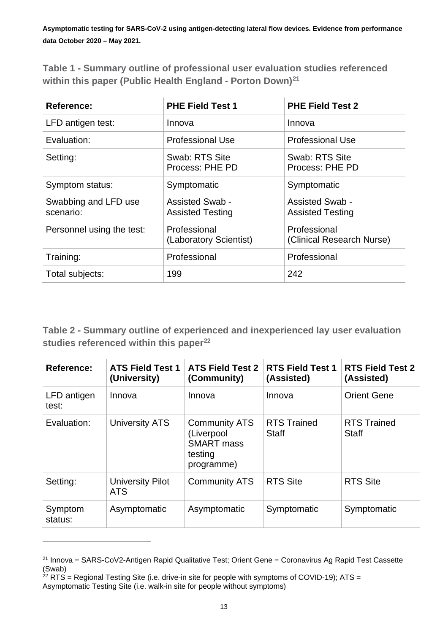**Table 1 - Summary outline of professional user evaluation studies referenced within this paper (Public Health England - Porton Down)[21](#page-12-0)**

| <b>Reference:</b>                 | <b>PHE Field Test 1</b>                           | <b>PHE Field Test 2</b>                           |
|-----------------------------------|---------------------------------------------------|---------------------------------------------------|
| LFD antigen test:                 | Innova                                            | Innova                                            |
| Evaluation:                       | <b>Professional Use</b>                           | <b>Professional Use</b>                           |
| Setting:                          | Swab: RTS Site<br>Process: PHE PD                 | Swab: RTS Site<br>Process: PHE PD                 |
| Symptom status:                   | Symptomatic                                       | Symptomatic                                       |
| Swabbing and LFD use<br>scenario: | <b>Assisted Swab -</b><br><b>Assisted Testing</b> | <b>Assisted Swab -</b><br><b>Assisted Testing</b> |
| Personnel using the test:         | Professional<br>(Laboratory Scientist)            | Professional<br>(Clinical Research Nurse)         |
| Training:                         | Professional                                      | Professional                                      |
| Total subjects:                   | 199                                               | 242                                               |

**Table 2 - Summary outline of experienced and inexperienced lay user evaluation studies referenced within this paper[22](#page-12-1)**

| <b>Reference:</b>    | <b>ATS Field Test 1</b><br>(University) | <b>ATS Field Test 2</b><br>(Community)                                           | <b>RTS Field Test 1</b><br>(Assisted) | <b>RTS Field Test 2</b><br>(Assisted) |
|----------------------|-----------------------------------------|----------------------------------------------------------------------------------|---------------------------------------|---------------------------------------|
| LFD antigen<br>test: | Innova                                  | Innova                                                                           | Innova                                | <b>Orient Gene</b>                    |
| Evaluation:          | University ATS                          | <b>Community ATS</b><br>(Liverpool<br><b>SMART</b> mass<br>testing<br>programme) | <b>RTS Trained</b><br><b>Staff</b>    | <b>RTS Trained</b><br><b>Staff</b>    |
| Setting:             | <b>University Pilot</b><br><b>ATS</b>   | <b>Community ATS</b>                                                             | <b>RTS Site</b>                       | <b>RTS Site</b>                       |
| Symptom<br>status:   | Asymptomatic                            | Asymptomatic                                                                     | Symptomatic                           | Symptomatic                           |

<span id="page-12-0"></span><sup>&</sup>lt;sup>21</sup> Innova = SARS-CoV2-Antigen Rapid Qualitative Test; Orient Gene = Coronavirus Ag Rapid Test Cassette (Swab)

<span id="page-12-1"></span> $22$  RTS = Regional Testing Site (i.e. drive-in site for people with symptoms of COVID-19); ATS = Asymptomatic Testing Site (i.e. walk-in site for people without symptoms)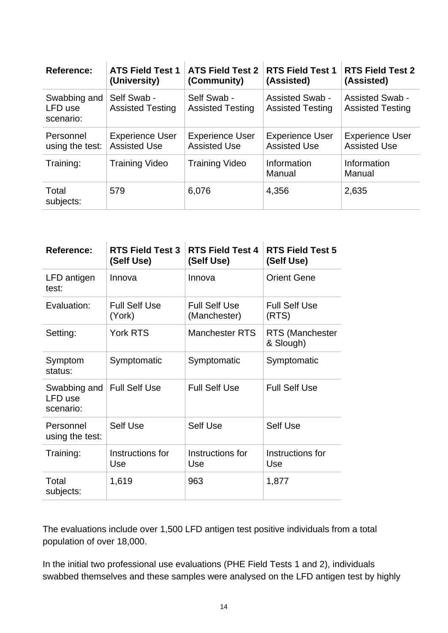| <b>Reference:</b>                    | <b>ATS Field Test 1</b><br>(University)       | <b>ATS Field Test 2</b><br>(Community)        | <b>RTS Field Test 1</b><br>(Assisted)             | <b>RTS Field Test 2</b><br>(Assisted)             |
|--------------------------------------|-----------------------------------------------|-----------------------------------------------|---------------------------------------------------|---------------------------------------------------|
| Swabbing and<br>LFD use<br>scenario: | Self Swab -<br><b>Assisted Testing</b>        | Self Swab -<br><b>Assisted Testing</b>        | <b>Assisted Swab -</b><br><b>Assisted Testing</b> | <b>Assisted Swab -</b><br><b>Assisted Testing</b> |
| Personnel<br>using the test:         | <b>Experience User</b><br><b>Assisted Use</b> | <b>Experience User</b><br><b>Assisted Use</b> | <b>Experience User</b><br><b>Assisted Use</b>     | <b>Experience User</b><br><b>Assisted Use</b>     |
| Training:                            | <b>Training Video</b>                         | <b>Training Video</b>                         | Information<br>Manual                             | Information<br>Manual                             |
| Total<br>subjects:                   | 579                                           | 6,076                                         | 4,356                                             | 2,635                                             |

| <b>Reference:</b>                    | <b>RTS Field Test 3</b><br>(Self Use) | <b>RTS Field Test 4</b><br>(Self Use) | <b>RTS Field Test 5</b><br>(Self Use) |
|--------------------------------------|---------------------------------------|---------------------------------------|---------------------------------------|
| LFD antigen<br>test:                 | Innova                                | Innova                                | <b>Orient Gene</b>                    |
| Evaluation:                          | <b>Full Self Use</b><br>(York)        | <b>Full Self Use</b><br>(Manchester)  | <b>Full Self Use</b><br>(RTS)         |
| Setting:                             | <b>York RTS</b>                       | <b>Manchester RTS</b>                 | <b>RTS (Manchester</b><br>& Slough)   |
| Symptom<br>status:                   | Symptomatic                           | Symptomatic                           | Symptomatic                           |
| Swabbing and<br>LFD use<br>scenario: | <b>Full Self Use</b>                  | <b>Full Self Use</b>                  | <b>Full Self Use</b>                  |
| Personnel<br>using the test:         | <b>Self Use</b>                       | <b>Self Use</b>                       | Self Use                              |
| Training:                            | Instructions for<br>Use               | Instructions for<br>Use               | Instructions for<br>Use               |
| Total<br>subjects:                   | 1,619                                 | 963                                   | 1,877                                 |

The evaluations include over 1,500 LFD antigen test positive individuals from a total population of over 18,000.

In the initial two professional use evaluations (PHE Field Tests 1 and 2), individuals swabbed themselves and these samples were analysed on the LFD antigen test by highly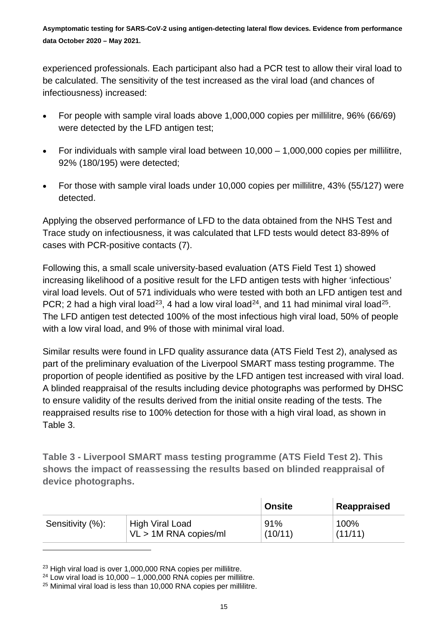experienced professionals. Each participant also had a PCR test to allow their viral load to be calculated. The sensitivity of the test increased as the viral load (and chances of infectiousness) increased:

- For people with sample viral loads above 1,000,000 copies per millilitre, 96% (66/69) were detected by the LFD antigen test:
- For individuals with sample viral load between 10,000 1,000,000 copies per millilitre, 92% (180/195) were detected;
- For those with sample viral loads under 10,000 copies per millilitre, 43% (55/127) were detected.

Applying the observed performance of LFD to the data obtained from the NHS Test and Trace study on infectiousness, it was calculated that LFD tests would detect 83-89% of cases with PCR-positive contacts (7).

Following this, a small scale university-based evaluation (ATS Field Test 1) showed increasing likelihood of a positive result for the LFD antigen tests with higher 'infectious' viral load levels. Out of 571 individuals who were tested with both an LFD antigen test and PCR; 2 had a high viral load<sup>23</sup>, 4 had a low viral load<sup>[24](#page-14-1)</sup>, and 11 had minimal viral load<sup>[25](#page-14-2)</sup>. The LFD antigen test detected 100% of the most infectious high viral load, 50% of people with a low viral load, and 9% of those with minimal viral load.

Similar results were found in LFD quality assurance data (ATS Field Test 2), analysed as part of the preliminary evaluation of the Liverpool SMART mass testing programme. The proportion of people identified as positive by the LFD antigen test increased with viral load. A blinded reappraisal of the results including device photographs was performed by DHSC to ensure validity of the results derived from the initial onsite reading of the tests. The reappraised results rise to 100% detection for those with a high viral load, as shown in Table 3.

**Table 3 - Liverpool SMART mass testing programme (ATS Field Test 2). This shows the impact of reassessing the results based on blinded reappraisal of device photographs.**

|                  |                         | <b>Onsite</b> | ∣ Reappraised |
|------------------|-------------------------|---------------|---------------|
| Sensitivity (%): | High Viral Load         | 91%           | 100%          |
|                  | $VL > 1M$ RNA copies/ml | (10/11)       | (11/11)       |

<span id="page-14-0"></span><sup>&</sup>lt;sup>23</sup> High viral load is over 1,000,000 RNA copies per millilitre.

<span id="page-14-1"></span> $24$  Low viral load is 10,000 – 1,000,000 RNA copies per millilitre.

<span id="page-14-2"></span><sup>&</sup>lt;sup>25</sup> Minimal viral load is less than 10,000 RNA copies per millilitre.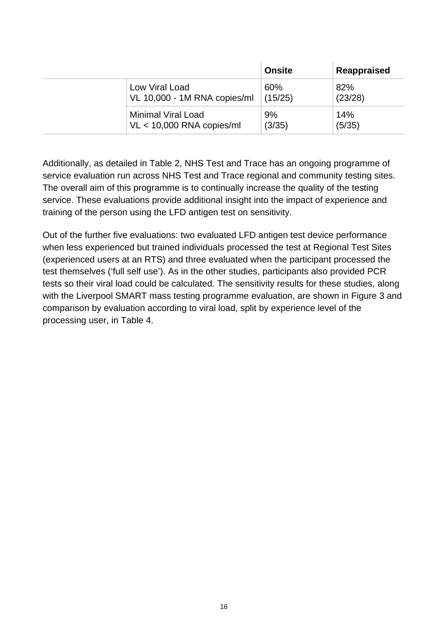|                              | <b>Onsite</b> | Reappraised |
|------------------------------|---------------|-------------|
| Low Viral Load               | 60%           | 82%         |
| VL 10,000 - 1M RNA copies/ml | (15/25)       | (23/28)     |
| <b>Minimal Viral Load</b>    | 9%            | 14%         |
| $VL < 10,000$ RNA copies/ml  | (3/35)        | (5/35)      |

Additionally, as detailed in Table 2, NHS Test and Trace has an ongoing programme of service evaluation run across NHS Test and Trace regional and community testing sites. The overall aim of this programme is to continually increase the quality of the testing service. These evaluations provide additional insight into the impact of experience and training of the person using the LFD antigen test on sensitivity.

Out of the further five evaluations: two evaluated LFD antigen test device performance when less experienced but trained individuals processed the test at Regional Test Sites (experienced users at an RTS) and three evaluated when the participant processed the test themselves ('full self use'). As in the other studies, participants also provided PCR tests so their viral load could be calculated. The sensitivity results for these studies, along with the Liverpool SMART mass testing programme evaluation, are shown in Figure 3 and comparison by evaluation according to viral load, split by experience level of the processing user, in Table 4.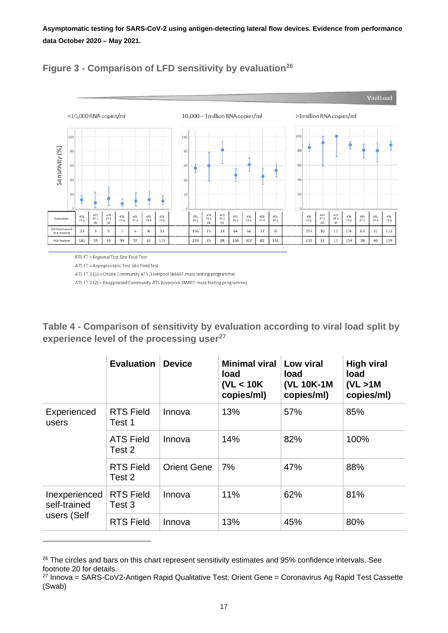

#### **Figure 3 - Comparison of LFD sensitivity by evaluation[26](#page-16-0)**

RTS FT = Regional Test Site Field Test

ATS FT = Asymptomatic Test Site Field Test

ATS FT 2 (1) = Onsite Community ATS (Liverpool SMART mass testing programme)

ATS FT 2 (2) = Reappraised Community ATS (Liverpool SMART mass testing programme)

**Table 4 - Comparison of sensitivity by evaluation according to viral load split by experience level of the processing user[27](#page-16-1)**

|                               | <b>Evaluation</b>          | <b>Device</b>      | <b>Minimal viral</b><br>load<br>(VL < 10K)<br>copies/ml) | Low viral<br>load<br>(VL 10K-1M<br>copies/ml) | <b>High viral</b><br>load<br>(VL > 1M)<br>copies/ml) |
|-------------------------------|----------------------------|--------------------|----------------------------------------------------------|-----------------------------------------------|------------------------------------------------------|
| Experienced<br>users          | <b>RTS Field</b><br>Test 1 | Innova             | 13%                                                      | 57%                                           | 85%                                                  |
|                               | <b>ATS Field</b><br>Test 2 | Innova             | 14%                                                      | 82%                                           | 100%                                                 |
|                               | <b>RTS Field</b><br>Test 2 | <b>Orient Gene</b> | 7%                                                       | 47%                                           | 88%                                                  |
| Inexperienced<br>self-trained | <b>RTS Field</b><br>Test 3 | Innova             | 11%                                                      | 62%                                           | 81%                                                  |
| users (Self                   | <b>RTS Field</b>           | Innova             | 13%                                                      | 45%                                           | 80%                                                  |

<span id="page-16-0"></span><sup>&</sup>lt;sup>26</sup> The circles and bars on this chart represent sensitivity estimates and 95% confidence intervals. See footnote 20 for details.

<span id="page-16-1"></span> $27$  Innova = SARS-CoV2-Antigen Rapid Qualitative Test; Orient Gene = Coronavirus Ag Rapid Test Cassette (Swab)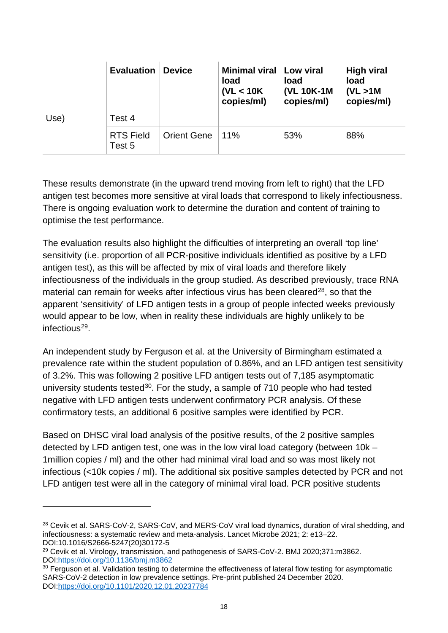|      | <b>Evaluation</b>          | <b>Device</b>      | <b>Minimal viral</b><br>load<br>(VL < 10K)<br>copies/ml) | Low viral<br>load<br>(VL 10K-1M<br>copies/ml) | <b>High viral</b><br>load<br>(VL > 1M)<br>copies/ml) |
|------|----------------------------|--------------------|----------------------------------------------------------|-----------------------------------------------|------------------------------------------------------|
| Use) | Test 4                     |                    |                                                          |                                               |                                                      |
|      | <b>RTS Field</b><br>Test 5 | <b>Orient Gene</b> | $11\%$                                                   | 53%                                           | 88%                                                  |

These results demonstrate (in the upward trend moving from left to right) that the LFD antigen test becomes more sensitive at viral loads that correspond to likely infectiousness. There is ongoing evaluation work to determine the duration and content of training to optimise the test performance.

The evaluation results also highlight the difficulties of interpreting an overall 'top line' sensitivity (i.e. proportion of all PCR-positive individuals identified as positive by a LFD antigen test), as this will be affected by mix of viral loads and therefore likely infectiousness of the individuals in the group studied. As described previously, trace RNA material can remain for weeks after infectious virus has been cleared $28$ , so that the apparent 'sensitivity' of LFD antigen tests in a group of people infected weeks previously would appear to be low, when in reality these individuals are highly unlikely to be infectious<sup>29</sup>.

An independent study by Ferguson et al. at the University of Birmingham estimated a prevalence rate within the student population of 0.86%, and an LFD antigen test sensitivity of 3.2%. This was following 2 positive LFD antigen tests out of 7,185 asymptomatic university students tested<sup>[30](#page-17-2)</sup>. For the study, a sample of 710 people who had tested negative with LFD antigen tests underwent confirmatory PCR analysis. Of these confirmatory tests, an additional 6 positive samples were identified by PCR.

Based on DHSC viral load analysis of the positive results, of the 2 positive samples detected by LFD antigen test, one was in the low viral load category (between 10k – 1million copies / ml) and the other had minimal viral load and so was most likely not infectious (<10k copies / ml). The additional six positive samples detected by PCR and not LFD antigen test were all in the category of minimal viral load. PCR positive students

<span id="page-17-0"></span><sup>28</sup> Cevik et al. SARS-CoV-2, SARS-CoV, and MERS-CoV viral load dynamics, duration of viral shedding, and infectiousness: a systematic review and meta-analysis. Lancet Microbe 2021; 2: e13–22. DOI:10.1016/S2666-5247(20)30172-5

<span id="page-17-1"></span><sup>&</sup>lt;sup>29</sup> Cevik et al. Virology, transmission, and pathogenesis of SARS-CoV-2. BMJ 2020;371:m3862. DOI[:https://doi.org/10.1136/bmj.m3862](https://doi.org/10.1136/bmj.m3862)

<span id="page-17-2"></span><sup>&</sup>lt;sup>30</sup> Ferguson et al. Validation testing to determine the effectiveness of lateral flow testing for asymptomatic SARS-CoV-2 detection in low prevalence settings. Pre-print published 24 December 2020. DOI[:https://doi.org/10.1101/2020.12.01.20237784](https://doi.org/10.1101/2020.12.01.20237784)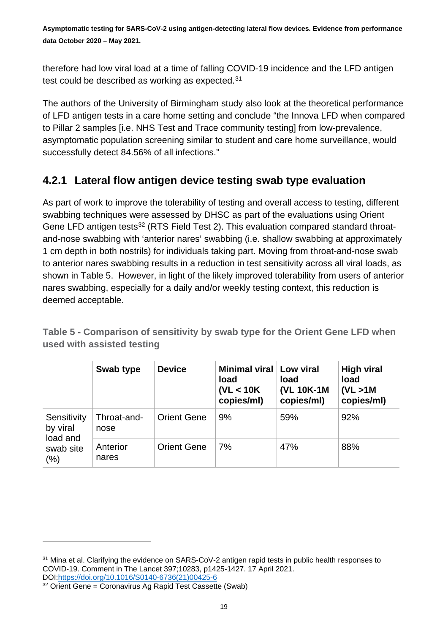therefore had low viral load at a time of falling COVID-19 incidence and the LFD antigen test could be described as working as expected.<sup>[31](#page-18-0)</sup>

The authors of the University of Birmingham study also look at the theoretical performance of LFD antigen tests in a care home setting and conclude "the Innova LFD when compared to Pillar 2 samples [i.e. NHS Test and Trace community testing] from low-prevalence, asymptomatic population screening similar to student and care home surveillance, would successfully detect 84.56% of all infections."

#### **4.2.1 Lateral flow antigen device testing swab type evaluation**

As part of work to improve the tolerability of testing and overall access to testing, different swabbing techniques were assessed by DHSC as part of the evaluations using Orient Gene LFD antigen tests<sup>[32](#page-18-1)</sup> (RTS Field Test 2). This evaluation compared standard throatand-nose swabbing with 'anterior nares' swabbing (i.e. shallow swabbing at approximately 1 cm depth in both nostrils) for individuals taking part. Moving from throat-and-nose swab to anterior nares swabbing results in a reduction in test sensitivity across all viral loads, as shown in Table 5. However, in light of the likely improved tolerability from users of anterior nares swabbing, especially for a daily and/or weekly testing context, this reduction is deemed acceptable.

|                                  | Swab type           | <b>Device</b>      | <b>Minimal viral</b><br>load<br>(VL < 10K)<br>copies/ml) | Low viral<br>load<br>(VL 10K-1M<br>copies/ml) | <b>High viral</b><br>load<br>(VL > 1M)<br>copies/ml) |
|----------------------------------|---------------------|--------------------|----------------------------------------------------------|-----------------------------------------------|------------------------------------------------------|
| Sensitivity<br>by viral          | Throat-and-<br>nose | <b>Orient Gene</b> | 9%                                                       | 59%                                           | 92%                                                  |
| load and<br>swab site<br>$(\% )$ | Anterior<br>nares   | <b>Orient Gene</b> | 7%                                                       | 47%                                           | 88%                                                  |

**Table 5 - Comparison of sensitivity by swab type for the Orient Gene LFD when used with assisted testing**

<span id="page-18-0"></span><sup>&</sup>lt;sup>31</sup> Mina et al. Clarifying the evidence on SARS-CoV-2 antigen rapid tests in public health responses to COVID-19. Comment in The Lancet 397;10283, p1425-1427. 17 April 2021. DOI[:https://doi.org/10.1016/S0140-6736\(21\)00425-6](https://doi.org/10.1016/S0140-6736(21)00425-6)

<span id="page-18-1"></span> $32$  Orient Gene = Coronavirus Ag Rapid Test Cassette (Swab)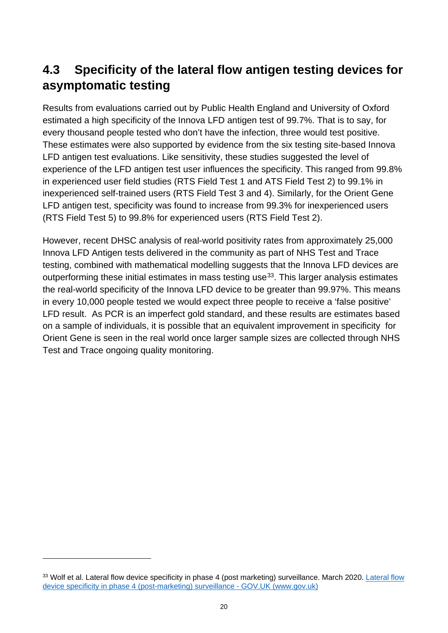## <span id="page-19-0"></span>**4.3 Specificity of the lateral flow antigen testing devices for asymptomatic testing**

Results from evaluations carried out by Public Health England and University of Oxford estimated a high specificity of the Innova LFD antigen test of 99.7%. That is to say, for every thousand people tested who don't have the infection, three would test positive. These estimates were also supported by evidence from the six testing site-based Innova LFD antigen test evaluations. Like sensitivity, these studies suggested the level of experience of the LFD antigen test user influences the specificity. This ranged from 99.8% in experienced user field studies (RTS Field Test 1 and ATS Field Test 2) to 99.1% in inexperienced self-trained users (RTS Field Test 3 and 4). Similarly, for the Orient Gene LFD antigen test, specificity was found to increase from 99.3% for inexperienced users (RTS Field Test 5) to 99.8% for experienced users (RTS Field Test 2).

However, recent DHSC analysis of real-world positivity rates from approximately 25,000 Innova LFD Antigen tests delivered in the community as part of NHS Test and Trace testing, combined with mathematical modelling suggests that the Innova LFD devices are outperforming these initial estimates in mass testing use<sup>[33](#page-19-1)</sup>. This larger analysis estimates the real-world specificity of the Innova LFD device to be greater than 99.97%. This means in every 10,000 people tested we would expect three people to receive a 'false positive' LFD result. As PCR is an imperfect gold standard, and these results are estimates based on a sample of individuals, it is possible that an equivalent improvement in specificity for Orient Gene is seen in the real world once larger sample sizes are collected through NHS Test and Trace ongoing quality monitoring.

<span id="page-19-1"></span><sup>33</sup> Wolf et al. [Lateral flow](https://www.gov.uk/government/publications/lateral-flow-device-specificity-in-phase-4-post-marketing-surveillance) device specificity in phase 4 (post marketing) surveillance. March 2020. Lateral flow [device specificity in phase 4 \(post-marketing\) surveillance -](https://www.gov.uk/government/publications/lateral-flow-device-specificity-in-phase-4-post-marketing-surveillance) GOV.UK (www.gov.uk)